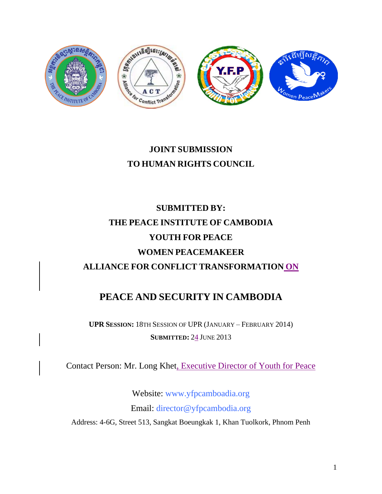

# **JOINT SUBMISSION TO HUMAN RIGHTS COUNCIL**

# **SUBMITTED BY: THE PEACE INSTITUTE OF CAMBODIA YOUTH FOR PEACE WOMEN PEACEMAKEER ALLIANCE FOR CONFLICT TRANSFORMATION ON**

# **PEACE AND SECURITY IN CAMBODIA**

**UPR SESSION:** 18TH SESSION OF UPR (JANUARY – FEBRUARY 2014) **SUBMITTED:** 24 JUNE 2013

Contact Person: Mr. Long Khet, Executive Director of Youth for Peace

Website: [www.yfpcamboadia.org](http://www.yfpcamboadia.org/) Email: [director@yfpcambodia.org](mailto:director@yfpcambodia.org) Address: 4-6G, Street 513, Sangkat Boeungkak 1, Khan Tuolkork, Phnom Penh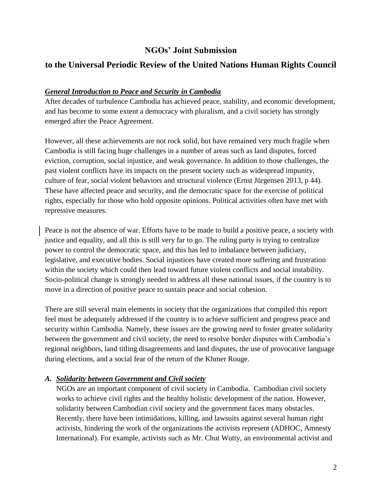## **NGOs' Joint Submission**

# **to the Universal Periodic Review of the United Nations Human Rights Council**

#### *General Introduction to Peace and Security in Cambodia*

After decades of turbulence Cambodia has achieved peace, stability, and economic development, and has become to some extent a democracy with pluralism, and a civil society has strongly emerged after the Peace Agreement.

However, all these achievements are not rock solid, but have remained very much fragile when Cambodia is still facing huge challenges in a number of areas such as land disputes, forced eviction, corruption, social injustice, and weak governance. In addition to those challenges, the past violent conflicts have its impacts on the present society such as widespread impunity, culture of fear, social violent behaviors and structural violence (Ernst Jürgensen 2013, p 44). These have affected peace and security, and the democratic space for the exercise of political rights, especially for those who hold opposite opinions. Political activities often have met with repressive measures.

Peace is not the absence of war. Efforts have to be made to build a positive peace, a society with justice and equality, and all this is still very far to go. The ruling party is trying to centralize power to control the democratic space, and this has led to imbalance between judiciary, legislative, and executive bodies. Social injustices have created more suffering and frustration within the society which could then lead toward future violent conflicts and social instability. Socio-political change is strongly needed to address all these national issues, if the country is to move in a direction of positive peace to sustain peace and social cohesion.

There are still several main elements in society that the organizations that compiled this report feel must be adequately addressed if the country is to achieve sufficient and progress peace and security within Cambodia. Namely, these issues are the growing need to foster greater solidarity between the government and civil society, the need to resolve border disputes with Cambodia's regional neighbors, land titling disagreements and land disputes, the use of provocative language during elections, and a social fear of the return of the Khmer Rouge.

#### *A. Solidarity between Government and Civil society*

NGOs are an important component of civil society in Cambodia. Cambodian civil society works to achieve civil rights and the healthy holistic development of the nation. However, solidarity between Cambodian civil society and the government faces many obstacles. Recently, there have been intimidations, killing, and lawsuits against several human right activists, hindering the work of the organizations the activists represent (ADHOC, Amnesty International). For example, activists such as Mr. Chut Wutty, an environmental activist and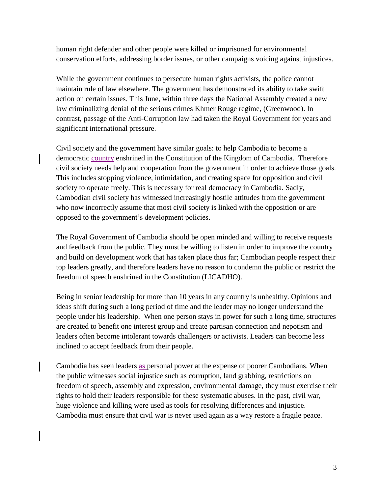human right defender and other people were killed or imprisoned for environmental conservation efforts, addressing border issues, or other campaigns voicing against injustices.

While the government continues to persecute human rights activists, the police cannot maintain rule of law elsewhere. The government has demonstrated its ability to take swift action on certain issues. This June, within three days the National Assembly created a new law criminalizing denial of the serious crimes Khmer Rouge regime, (Greenwood). In contrast, passage of the Anti-Corruption law had taken the Royal Government for years and significant international pressure.

Civil society and the government have similar goals: to help Cambodia to become a democratic country enshrined in the Constitution of the Kingdom of Cambodia. Therefore civil society needs help and cooperation from the government in order to achieve those goals. This includes stopping violence, intimidation, and creating space for opposition and civil society to operate freely. This is necessary for real democracy in Cambodia. Sadly, Cambodian civil society has witnessed increasingly hostile attitudes from the government who now incorrectly assume that most civil society is linked with the opposition or are opposed to the government's development policies.

The Royal Government of Cambodia should be open minded and willing to receive requests and feedback from the public. They must be willing to listen in order to improve the country and build on development work that has taken place thus far; Cambodian people respect their top leaders greatly, and therefore leaders have no reason to condemn the public or restrict the freedom of speech enshrined in the Constitution (LICADHO).

Being in senior leadership for more than 10 years in any country is unhealthy. Opinions and ideas shift during such a long period of time and the leader may no longer understand the people under his leadership. When one person stays in power for such a long time, structures are created to benefit one interest group and create partisan connection and nepotism and leaders often become intolerant towards challengers or activists. Leaders can become less inclined to accept feedback from their people.

Cambodia has seen leaders as personal power at the expense of poorer Cambodians. When the public witnesses social injustice such as corruption, land grabbing, restrictions on freedom of speech, assembly and expression, environmental damage, they must exercise their rights to hold their leaders responsible for these systematic abuses. In the past, civil war, huge violence and killing were used as tools for resolving differences and injustice. Cambodia must ensure that civil war is never used again as a way restore a fragile peace.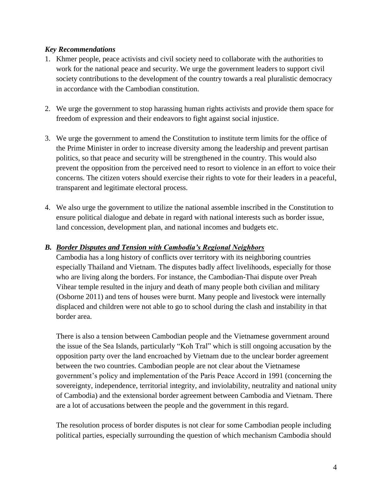#### *Key Recommendations*

- 1. Khmer people, peace activists and civil society need to collaborate with the authorities to work for the national peace and security. We urge the government leaders to support civil society contributions to the development of the country towards a real pluralistic democracy in accordance with the Cambodian constitution.
- 2. We urge the government to stop harassing human rights activists and provide them space for freedom of expression and their endeavors to fight against social injustice.
- 3. We urge the government to amend the Constitution to institute term limits for the office of the Prime Minister in order to increase diversity among the leadership and prevent partisan politics, so that peace and security will be strengthened in the country. This would also prevent the opposition from the perceived need to resort to violence in an effort to voice their concerns. The citizen voters should exercise their rights to vote for their leaders in a peaceful, transparent and legitimate electoral process.
- 4. We also urge the government to utilize the national assemble inscribed in the Constitution to ensure political dialogue and debate in regard with national interests such as border issue, land concession, development plan, and national incomes and budgets etc.

#### *B. Border Disputes and Tension with Cambodia's Regional Neighbors*

Cambodia has a long history of conflicts over territory with its neighboring countries especially Thailand and Vietnam. The disputes badly affect livelihoods, especially for those who are living along the borders. For instance, the Cambodian-Thai dispute over Preah Vihear temple resulted in the injury and death of many people both civilian and military (Osborne 2011) and tens of houses were burnt. Many people and livestock were internally displaced and children were not able to go to school during the clash and instability in that border area.

There is also a tension between Cambodian people and the Vietnamese government around the issue of the Sea Islands, particularly "Koh Tral" which is still ongoing accusation by the opposition party over the land encroached by Vietnam due to the unclear border agreement between the two countries. Cambodian people are not clear about the Vietnamese government's policy and implementation of the Paris Peace Accord in 1991 (concerning the sovereignty, independence, territorial integrity, and inviolability, neutrality and national unity of Cambodia) and the extensional border agreement between Cambodia and Vietnam. There are a lot of accusations between the people and the government in this regard.

The resolution process of border disputes is not clear for some Cambodian people including political parties, especially surrounding the question of which mechanism Cambodia should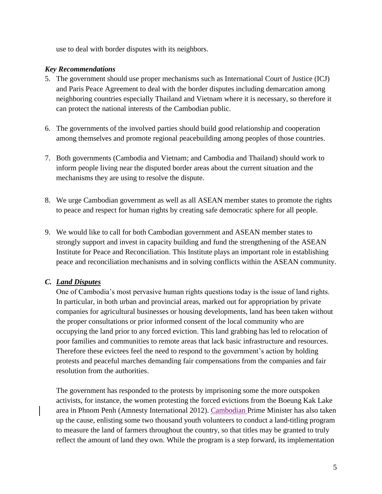use to deal with border disputes with its neighbors.

#### *Key Recommendations*

- 5. The government should use proper mechanisms such as International Court of Justice (ICJ) and Paris Peace Agreement to deal with the border disputes including demarcation among neighboring countries especially Thailand and Vietnam where it is necessary, so therefore it can protect the national interests of the Cambodian public.
- 6. The governments of the involved parties should build good relationship and cooperation among themselves and promote regional peacebuilding among peoples of those countries.
- 7. Both governments (Cambodia and Vietnam; and Cambodia and Thailand) should work to inform people living near the disputed border areas about the current situation and the mechanisms they are using to resolve the dispute.
- 8. We urge Cambodian government as well as all ASEAN member states to promote the rights to peace and respect for human rights by creating safe democratic sphere for all people.
- 9. We would like to call for both Cambodian government and ASEAN member states to strongly support and invest in capacity building and fund the strengthening of the ASEAN Institute for Peace and Reconciliation. This Institute plays an important role in establishing peace and reconciliation mechanisms and in solving conflicts within the ASEAN community.

#### *C. Land Disputes*

One of Cambodia's most pervasive human rights questions today is the issue of land rights. In particular, in both urban and provincial areas, marked out for appropriation by private companies for agricultural businesses or housing developments, land has been taken without the proper consultations or prior informed consent of the local community who are occupying the land prior to any forced eviction. This land grabbing has led to relocation of poor families and communities to remote areas that lack basic infrastructure and resources. Therefore these evictees feel the need to respond to the government's action by holding protests and peaceful marches demanding fair compensations from the companies and fair resolution from the authorities.

The government has responded to the protests by imprisoning some the more outspoken activists, for instance, the women protesting the forced evictions from the Boeung Kak Lake area in Phnom Penh (Amnesty International 2012). Cambodian Prime Minister has also taken up the cause, enlisting some two thousand youth volunteers to conduct a land-titling program to measure the land of farmers throughout the country, so that titles may be granted to truly reflect the amount of land they own. While the program is a step forward, its implementation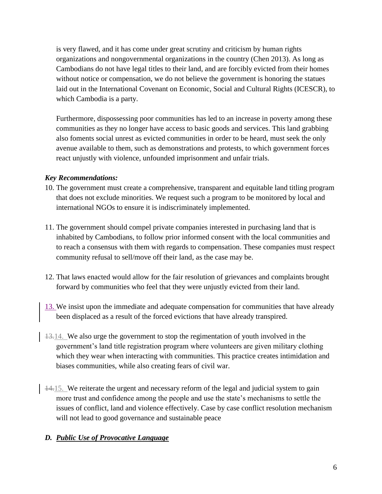is very flawed, and it has come under great scrutiny and criticism by human rights organizations and nongovernmental organizations in the country (Chen 2013). As long as Cambodians do not have legal titles to their land, and are forcibly evicted from their homes without notice or compensation, we do not believe the government is honoring the statues laid out in the International Covenant on Economic, Social and Cultural Rights (ICESCR), to which Cambodia is a party.

Furthermore, dispossessing poor communities has led to an increase in poverty among these communities as they no longer have access to basic goods and services. This land grabbing also foments social unrest as evicted communities in order to be heard, must seek the only avenue available to them, such as demonstrations and protests, to which government forces react unjustly with violence, unfounded imprisonment and unfair trials.

#### *Key Recommendations:*

- 10. The government must create a comprehensive, transparent and equitable land titling program that does not exclude minorities. We request such a program to be monitored by local and international NGOs to ensure it is indiscriminately implemented.
- 11. The government should compel private companies interested in purchasing land that is inhabited by Cambodians, to follow prior informed consent with the local communities and to reach a consensus with them with regards to compensation. These companies must respect community refusal to sell/move off their land, as the case may be.
- 12. That laws enacted would allow for the fair resolution of grievances and complaints brought forward by communities who feel that they were unjustly evicted from their land.
- 13. We insist upon the immediate and adequate compensation for communities that have already been displaced as a result of the forced evictions that have already transpired.
- 13.14. We also urge the government to stop the regimentation of youth involved in the government's land title registration program where volunteers are given military clothing which they wear when interacting with communities. This practice creates intimidation and biases communities, while also creating fears of civil war.
- 14.15. We reiterate the urgent and necessary reform of the legal and judicial system to gain more trust and confidence among the people and use the state's mechanisms to settle the issues of conflict, land and violence effectively. Case by case conflict resolution mechanism will not lead to good governance and sustainable peace

## *D. Public Use of Provocative Language*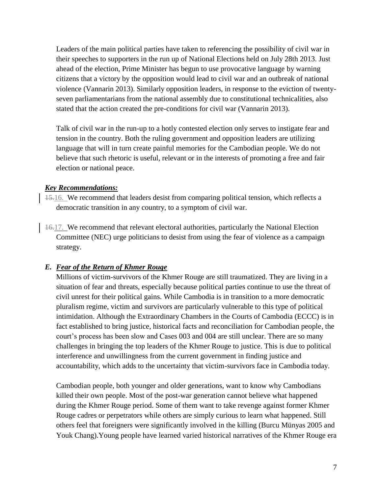Leaders of the main political parties have taken to referencing the possibility of civil war in their speeches to supporters in the run up of National Elections held on July 28th 2013. Just ahead of the election, Prime Minister has begun to use provocative language by warning citizens that a victory by the opposition would lead to civil war and an outbreak of national violence (Vannarin 2013). Similarly opposition leaders, in response to the eviction of twentyseven parliamentarians from the national assembly due to constitutional technicalities, also stated that the action created the pre-conditions for civil war (Vannarin 2013).

Talk of civil war in the run-up to a hotly contested election only serves to instigate fear and tension in the country. Both the ruling government and opposition leaders are utilizing language that will in turn create painful memories for the Cambodian people. We do not believe that such rhetoric is useful, relevant or in the interests of promoting a free and fair election or national peace.

#### *Key Recommendations:*

- 15.16. We recommend that leaders desist from comparing political tension, which reflects a democratic transition in any country, to a symptom of civil war.
- 16.17. We recommend that relevant electoral authorities, particularly the National Election Committee (NEC) urge politicians to desist from using the fear of violence as a campaign strategy.

## *E. Fear of the Return of Khmer Rouge*

Millions of victim-survivors of the Khmer Rouge are still traumatized. They are living in a situation of fear and threats, especially because political parties continue to use the threat of civil unrest for their political gains. While Cambodia is in transition to a more democratic pluralism regime, victim and survivors are particularly vulnerable to this type of political intimidation. Although the Extraordinary Chambers in the Courts of Cambodia (ECCC) is in fact established to bring justice, historical facts and reconciliation for Cambodian people, the court's process has been slow and Cases 003 and 004 are still unclear. There are so many challenges in bringing the top leaders of the Khmer Rouge to justice. This is due to political interference and unwillingness from the current government in finding justice and accountability, which adds to the uncertainty that victim-survivors face in Cambodia today.

Cambodian people, both younger and older generations, want to know why Cambodians killed their own people. Most of the post-war generation cannot believe what happened during the Khmer Rouge period. Some of them want to take revenge against former Khmer Rouge cadres or perpetrators while others are simply curious to learn what happened. Still others feel that foreigners were significantly involved in the killing (Burcu Münyas 2005 and Youk Chang).Young people have learned varied historical narratives of the Khmer Rouge era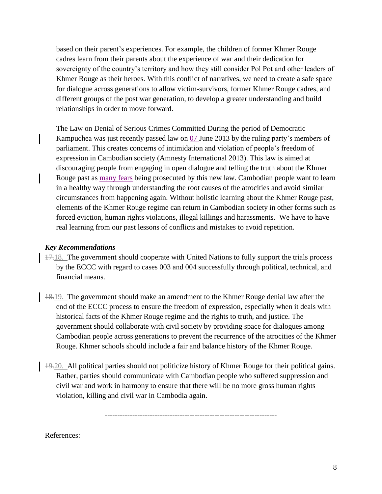based on their parent's experiences. For example, the children of former Khmer Rouge cadres learn from their parents about the experience of war and their dedication for sovereignty of the country's territory and how they still consider Pol Pot and other leaders of Khmer Rouge as their heroes. With this conflict of narratives, we need to create a safe space for dialogue across generations to allow victim-survivors, former Khmer Rouge cadres, and different groups of the post war generation, to develop a greater understanding and build relationships in order to move forward.

The Law on Denial of Serious Crimes Committed During the period of Democratic Kampuchea was just recently passed law on 07 June 2013 by the ruling party's members of parliament. This creates concerns of intimidation and violation of people's freedom of expression in Cambodian society (Amnesty International 2013). This law is aimed at discouraging people from engaging in open dialogue and telling the truth about the Khmer Rouge past as many fears being prosecuted by this new law. Cambodian people want to learn in a healthy way through understanding the root causes of the atrocities and avoid similar circumstances from happening again. Without holistic learning about the Khmer Rouge past, elements of the Khmer Rouge regime can return in Cambodian society in other forms such as forced eviction, human rights violations, illegal killings and harassments. We have to have real learning from our past lessons of conflicts and mistakes to avoid repetition.

#### *Key Recommendations*

- 17.18. The government should cooperate with United Nations to fully support the trials process by the ECCC with regard to cases 003 and 004 successfully through political, technical, and financial means.
- 18.19. The government should make an amendment to the Khmer Rouge denial law after the end of the ECCC process to ensure the freedom of expression, especially when it deals with historical facts of the Khmer Rouge regime and the rights to truth, and justice. The government should collaborate with civil society by providing space for dialogues among Cambodian people across generations to prevent the recurrence of the atrocities of the Khmer Rouge. Khmer schools should include a fair and balance history of the Khmer Rouge.
- 19.20. All political parties should not politicize history of Khmer Rouge for their political gains. Rather, parties should communicate with Cambodian people who suffered suppression and civil war and work in harmony to ensure that there will be no more gross human rights violation, killing and civil war in Cambodia again.

---------------------------------------------------------------------

References: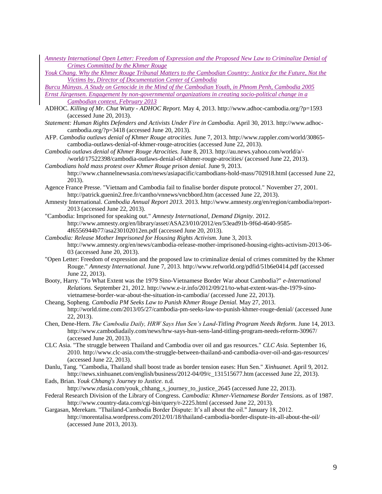- *Amnesty International Open Letter: Freedom of Expression and the Proposed New Law to Criminalize Denial of Crimes Committed by the Khmer Rouge*
- *Youk Chang. Why the Khmer Rouge Tribunal Matters to the Cambodian Country: Justice for the Future, Not the Victims by, Director of Documentation Center of Cambodia*

*Burcu Münyas. A Study on Genocide in the Mind of the Cambodian Youth, in Phnom Penh, Cambodia 2005 Ernst Jürgensen. Engagement by non-governmental organizations in creating socio-political change in a Cambodian context, February 2013*

- ADHOC. *Killing of Mr. Chut Wutty - ADHOC Report.* May 4, 2013. http://www.adhoc-cambodia.org/?p=1593 (accessed June 20, 2013).
- *Statement: Human Rights Defenders and Activists Under Fire in Cambodia.* April 30, 2013. http://www.adhoccambodia.org/?p=3418 (accessed June 20, 2013).
- AFP. *Cambodia outlaws denial of Khmer Rouge atrocities.* June 7, 2013. http://www.rappler.com/world/30865 cambodia-outlaws-denial-of-khmer-rouge-atrocities (accessed June 22, 2013).
- *Cambodia outlaws denial of Khmer Rouge Atrocities.* June 8, 2013. http://au.news.yahoo.com/world/a/- /world/17522398/cambodia-outlaws-denial-of-khmer-rouge-atrocities/ (accessed June 22, 2013).
- *Cambodians hold mass protest over Khmer Rouge prison denial.* June 9, 2013. http://www.channelnewsasia.com/news/asiapacific/cambodians-hold-mass/702918.html (accessed June 22, 2013).
- Agence France Presse. "Vietnam and Cambodia fail to finalise border dispute protocol." November 27, 2001. http://patrick.guenin2.free.fr/cantho/vnnews/vncbbord.htm (accessed June 22, 2013).
- Amnesty International. *Cambodia Annual Report 2013.* 2013. http://www.amnesty.org/en/region/cambodia/report-2013 (accessed June 22, 2013).
- "Cambodia: Imprisoned for speaking out." *Amnesty International, Demand Dignity.* 2012. http://www.amnesty.org/en/library/asset/ASA23/010/2012/en/53ead91b-9f6d-4640-9585- 4f6556944b77/asa230102012en.pdf (accessed June 20, 2013).
- *Cambodia: Release Mother Imprisoned for Housing Rights Activism.* June 3, 2013. http://www.amnesty.org/en/news/cambodia-release-mother-imprisoned-housing-rights-activism-2013-06- 03 (accessed June 20, 2013).
- "Open Letter: Freedom of expression and the proposed law to criminalize denial of crimes committed by the Khmer Rouge." *Amnesty International.* June 7, 2013. http://www.refworld.org/pdfid/51b6e0414.pdf (accessed June 22, 2013).
- Booty, Harry. "To What Extent was the 1979 Sino-Vietnamese Border War about Cambodia?" *e-International Relations.* September 21, 2012. http://www.e-ir.info/2012/09/21/to-what-extent-was-the-1979-sinovietnamese-border-war-about-the-situation-in-cambodia/ (accessed June 22, 2013).
- Cheang, Sopheng. *Cambodia PM Seeks Law to Punish Khmer Rouge Denial.* May 27, 2013. http://world.time.com/2013/05/27/cambodia-pm-seeks-law-to-punish-khmer-rouge-denial/ (accessed June 22, 2013).
- Chen, Dene-Hern. *The Cambodia Daily, HRW Says Hun Sen's Land-Titling Program Needs Reform.* June 14, 2013. http://www.cambodiadaily.com/news/hrw-says-hun-sens-land-titling-program-needs-reform-30967/ (accessed June 20, 2013).
- CLC Asia. "The struggle between Thailand and Cambodia over oil and gas resources." *CLC Asia.* September 16, 2010. http://www.clc-asia.com/the-struggle-between-thailand-and-cambodia-over-oil-and-gas-resources/ (accessed June 22, 2013).
- Danlu, Tang. "Cambodia, Thailand shall boost trade as border tension eases: Hun Sen." *Xinhuanet.* April 9, 2012. http://news.xinhuanet.com/english/business/2012-04/09/c\_131515677.htm (accessed June 22, 2013).
- Eads, Brian. *Youk Chhang's Journey to Justice.* n.d.
- http://www.rdasia.com/youk\_chhang\_s\_journey\_to\_justice\_2645 (accessed June 22, 2013).
- Federal Research Division of the Library of Congress. *Cambodia: Khmer-Vietnamese Border Tensions.* as of 1987. http://www.country-data.com/cgi-bin/query/r-2225.html (accessed June 22, 2013).
- Gargasan, Merekam. "Thailand-Cambodia Border Dispute: It's all about the oil." January 18, 2012. http://morentalisa.wordpress.com/2012/01/18/thailand-cambodia-border-dispute-its-all-about-the-oil/ (accessed June 2013, 2013).